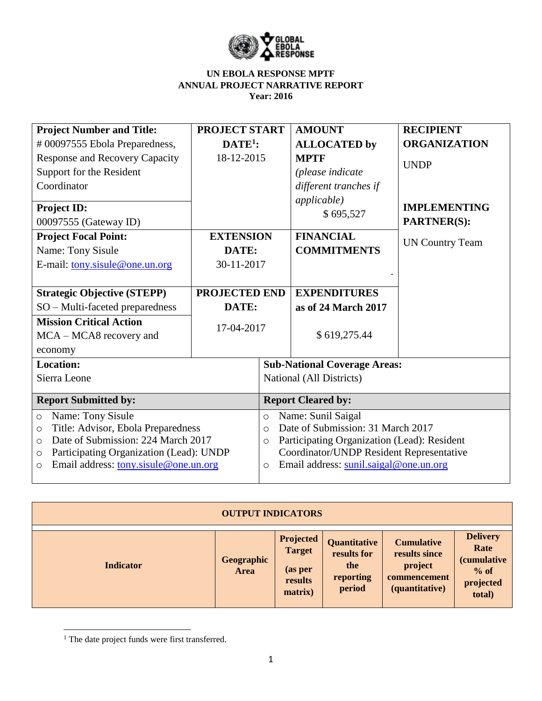

| <b>Project Number and Title:</b>                   | <b>PROJECT START</b> |                                                        | <b>AMOUNT</b>                    | <b>RECIPIENT</b>                          |  |  |  |
|----------------------------------------------------|----------------------|--------------------------------------------------------|----------------------------------|-------------------------------------------|--|--|--|
| #00097555 Ebola Preparedness,                      | $DATE1$ :            |                                                        | <b>ALLOCATED by</b>              | <b>ORGANIZATION</b>                       |  |  |  |
| Response and Recovery Capacity                     | 18-12-2015           |                                                        | <b>MPTF</b>                      | <b>UNDP</b>                               |  |  |  |
| Support for the Resident                           |                      |                                                        | (please indicate                 |                                           |  |  |  |
| Coordinator                                        |                      |                                                        | different tranches if            |                                           |  |  |  |
| Project ID:<br>00097555 (Gateway ID)               |                      |                                                        | <i>applicable</i> )<br>\$695,527 | <b>IMPLEMENTING</b><br><b>PARTNER(S):</b> |  |  |  |
| <b>Project Focal Point:</b>                        | <b>EXTENSION</b>     |                                                        | <b>FINANCIAL</b>                 | <b>UN Country Team</b>                    |  |  |  |
| Name: Tony Sisule                                  | DATE:                |                                                        | <b>COMMITMENTS</b>               |                                           |  |  |  |
| E-mail: tony.sisule@one.un.org                     | 30-11-2017           |                                                        |                                  |                                           |  |  |  |
|                                                    |                      |                                                        |                                  |                                           |  |  |  |
| <b>Strategic Objective (STEPP)</b>                 | <b>PROJECTED END</b> |                                                        | <b>EXPENDITURES</b>              |                                           |  |  |  |
| SO - Multi-faceted preparedness                    | DATE:                |                                                        | as of 24 March 2017              |                                           |  |  |  |
| <b>Mission Critical Action</b>                     | 17-04-2017           |                                                        |                                  |                                           |  |  |  |
| MCA – MCA8 recovery and                            |                      |                                                        | \$619,275.44                     |                                           |  |  |  |
| economy                                            |                      |                                                        |                                  |                                           |  |  |  |
| <b>Location:</b>                                   |                      | <b>Sub-National Coverage Areas:</b>                    |                                  |                                           |  |  |  |
| Sierra Leone                                       |                      | National (All Districts)                               |                                  |                                           |  |  |  |
|                                                    |                      |                                                        |                                  |                                           |  |  |  |
| <b>Report Submitted by:</b>                        |                      | <b>Report Cleared by:</b>                              |                                  |                                           |  |  |  |
| Name: Tony Sisule<br>$\circ$                       |                      | Name: Sunil Saigal<br>$\circ$                          |                                  |                                           |  |  |  |
| Title: Advisor, Ebola Preparedness<br>$\circ$      |                      | Date of Submission: 31 March 2017<br>$\circ$           |                                  |                                           |  |  |  |
| Date of Submission: 224 March 2017<br>$\circ$      |                      | Participating Organization (Lead): Resident<br>$\circ$ |                                  |                                           |  |  |  |
| Participating Organization (Lead): UNDP<br>$\circ$ |                      | Coordinator/UNDP Resident Representative               |                                  |                                           |  |  |  |
| Email address: tony.sisule@one.un.org<br>$\circ$   |                      | Email address: sunil.saigal@one.un.org<br>O            |                                  |                                           |  |  |  |
|                                                    |                      |                                                        |                                  |                                           |  |  |  |

| <b>OUTPUT INDICATORS</b> |                    |                                                                    |                                                           |                                                                                 |                                                                                 |  |  |  |  |
|--------------------------|--------------------|--------------------------------------------------------------------|-----------------------------------------------------------|---------------------------------------------------------------------------------|---------------------------------------------------------------------------------|--|--|--|--|
| <b>Indicator</b>         | Geographic<br>Area | <b>Projected</b><br><b>Target</b><br>(as per<br>results<br>matrix) | Quantitative<br>results for<br>the<br>reporting<br>period | <b>Cumulative</b><br>results since<br>project<br>commencement<br>(quantitative) | <b>Delivery</b><br>Rate<br><i>(cumulative)</i><br>$%$ of<br>projected<br>total) |  |  |  |  |

 $\overline{\phantom{a}}$ <sup>1</sup> The date project funds were first transferred.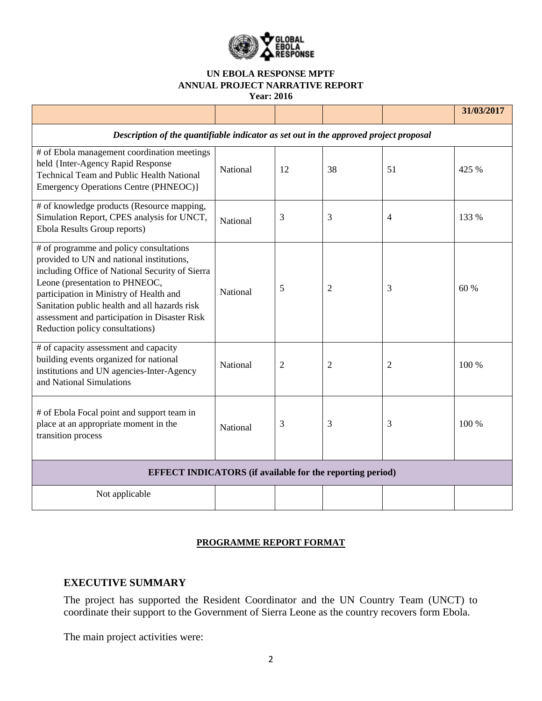

**Year: 2016**

|                                                                                                                                                                                                                                                                                                                                                           |          |    |    |                | 31/03/2017 |  |  |  |
|-----------------------------------------------------------------------------------------------------------------------------------------------------------------------------------------------------------------------------------------------------------------------------------------------------------------------------------------------------------|----------|----|----|----------------|------------|--|--|--|
| Description of the quantifiable indicator as set out in the approved project proposal                                                                                                                                                                                                                                                                     |          |    |    |                |            |  |  |  |
| # of Ebola management coordination meetings<br>held {Inter-Agency Rapid Response<br><b>Technical Team and Public Health National</b><br>Emergency Operations Centre (PHNEOC) }                                                                                                                                                                            | National | 12 | 38 | 51             | 425 %      |  |  |  |
| # of knowledge products (Resource mapping,<br>Simulation Report, CPES analysis for UNCT,<br>Ebola Results Group reports)                                                                                                                                                                                                                                  | National | 3  | 3  | $\overline{4}$ | 133 %      |  |  |  |
| # of programme and policy consultations<br>provided to UN and national institutions,<br>including Office of National Security of Sierra<br>Leone (presentation to PHNEOC,<br>participation in Ministry of Health and<br>Sanitation public health and all hazards risk<br>assessment and participation in Disaster Risk<br>Reduction policy consultations) | National | 5  | 2  | 3              | 60 %       |  |  |  |
| # of capacity assessment and capacity<br>building events organized for national<br>institutions and UN agencies-Inter-Agency<br>and National Simulations                                                                                                                                                                                                  | National | 2  | 2  | $\overline{2}$ | 100 %      |  |  |  |
| # of Ebola Focal point and support team in<br>place at an appropriate moment in the<br>transition process                                                                                                                                                                                                                                                 | National | 3  | 3  | 3              | 100 %      |  |  |  |
| <b>EFFECT INDICATORS</b> (if available for the reporting period)                                                                                                                                                                                                                                                                                          |          |    |    |                |            |  |  |  |
| Not applicable                                                                                                                                                                                                                                                                                                                                            |          |    |    |                |            |  |  |  |

### **PROGRAMME REPORT FORMAT**

### **EXECUTIVE SUMMARY**

The project has supported the Resident Coordinator and the UN Country Team (UNCT) to coordinate their support to the Government of Sierra Leone as the country recovers form Ebola.

The main project activities were: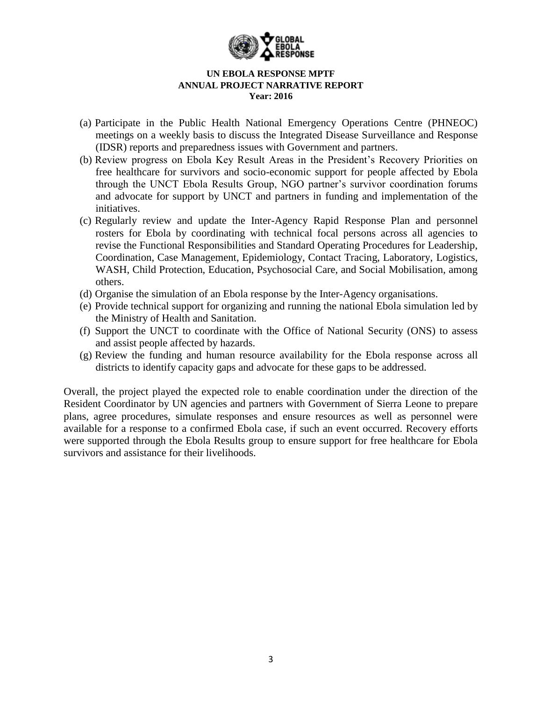

- (a) Participate in the Public Health National Emergency Operations Centre (PHNEOC) meetings on a weekly basis to discuss the Integrated Disease Surveillance and Response (IDSR) reports and preparedness issues with Government and partners.
- (b) Review progress on Ebola Key Result Areas in the President's Recovery Priorities on free healthcare for survivors and socio-economic support for people affected by Ebola through the UNCT Ebola Results Group, NGO partner's survivor coordination forums and advocate for support by UNCT and partners in funding and implementation of the initiatives.
- (c) Regularly review and update the Inter-Agency Rapid Response Plan and personnel rosters for Ebola by coordinating with technical focal persons across all agencies to revise the Functional Responsibilities and Standard Operating Procedures for Leadership, Coordination, Case Management, Epidemiology, Contact Tracing, Laboratory, Logistics, WASH, Child Protection, Education, Psychosocial Care, and Social Mobilisation, among others.
- (d) Organise the simulation of an Ebola response by the Inter-Agency organisations.
- (e) Provide technical support for organizing and running the national Ebola simulation led by the Ministry of Health and Sanitation.
- (f) Support the UNCT to coordinate with the Office of National Security (ONS) to assess and assist people affected by hazards.
- (g) Review the funding and human resource availability for the Ebola response across all districts to identify capacity gaps and advocate for these gaps to be addressed.

Overall, the project played the expected role to enable coordination under the direction of the Resident Coordinator by UN agencies and partners with Government of Sierra Leone to prepare plans, agree procedures, simulate responses and ensure resources as well as personnel were available for a response to a confirmed Ebola case, if such an event occurred. Recovery efforts were supported through the Ebola Results group to ensure support for free healthcare for Ebola survivors and assistance for their livelihoods.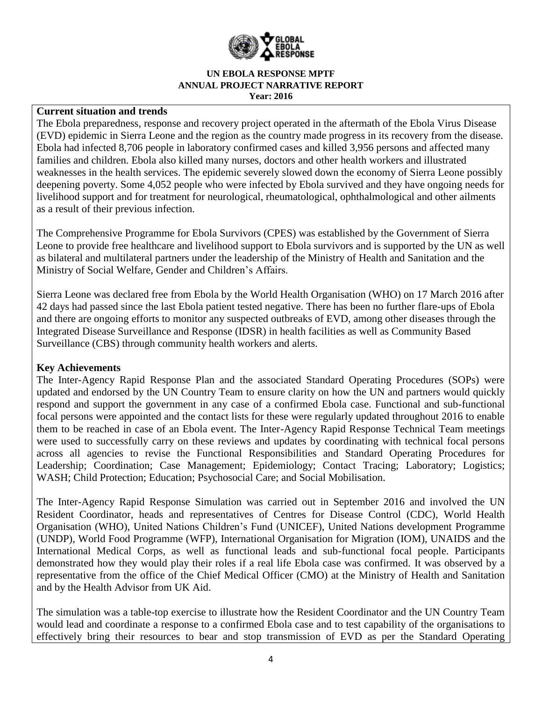

### **Current situation and trends**

The Ebola preparedness, response and recovery project operated in the aftermath of the Ebola Virus Disease (EVD) epidemic in Sierra Leone and the region as the country made progress in its recovery from the disease. Ebola had infected 8,706 people in laboratory confirmed cases and killed 3,956 persons and affected many families and children. Ebola also killed many nurses, doctors and other health workers and illustrated weaknesses in the health services. The epidemic severely slowed down the economy of Sierra Leone possibly deepening poverty. Some 4,052 people who were infected by Ebola survived and they have ongoing needs for livelihood support and for treatment for neurological, rheumatological, ophthalmological and other ailments as a result of their previous infection.

The Comprehensive Programme for Ebola Survivors (CPES) was established by the Government of Sierra Leone to provide free healthcare and livelihood support to Ebola survivors and is supported by the UN as well as bilateral and multilateral partners under the leadership of the Ministry of Health and Sanitation and the Ministry of Social Welfare, Gender and Children's Affairs.

Sierra Leone was declared free from Ebola by the World Health Organisation (WHO) on 17 March 2016 after 42 days had passed since the last Ebola patient tested negative. There has been no further flare-ups of Ebola and there are ongoing efforts to monitor any suspected outbreaks of EVD, among other diseases through the Integrated Disease Surveillance and Response (IDSR) in health facilities as well as Community Based Surveillance (CBS) through community health workers and alerts.

### **Key Achievements**

The Inter-Agency Rapid Response Plan and the associated Standard Operating Procedures (SOPs) were updated and endorsed by the UN Country Team to ensure clarity on how the UN and partners would quickly respond and support the government in any case of a confirmed Ebola case. Functional and sub-functional focal persons were appointed and the contact lists for these were regularly updated throughout 2016 to enable them to be reached in case of an Ebola event. The Inter-Agency Rapid Response Technical Team meetings were used to successfully carry on these reviews and updates by coordinating with technical focal persons across all agencies to revise the Functional Responsibilities and Standard Operating Procedures for Leadership; Coordination; Case Management; Epidemiology; Contact Tracing; Laboratory; Logistics; WASH; Child Protection; Education; Psychosocial Care; and Social Mobilisation.

The Inter-Agency Rapid Response Simulation was carried out in September 2016 and involved the UN Resident Coordinator, heads and representatives of Centres for Disease Control (CDC), World Health Organisation (WHO), United Nations Children's Fund (UNICEF), United Nations development Programme (UNDP), World Food Programme (WFP), International Organisation for Migration (IOM), UNAIDS and the International Medical Corps, as well as functional leads and sub-functional focal people. Participants demonstrated how they would play their roles if a real life Ebola case was confirmed. It was observed by a representative from the office of the Chief Medical Officer (CMO) at the Ministry of Health and Sanitation and by the Health Advisor from UK Aid.

The simulation was a table-top exercise to illustrate how the Resident Coordinator and the UN Country Team would lead and coordinate a response to a confirmed Ebola case and to test capability of the organisations to effectively bring their resources to bear and stop transmission of EVD as per the Standard Operating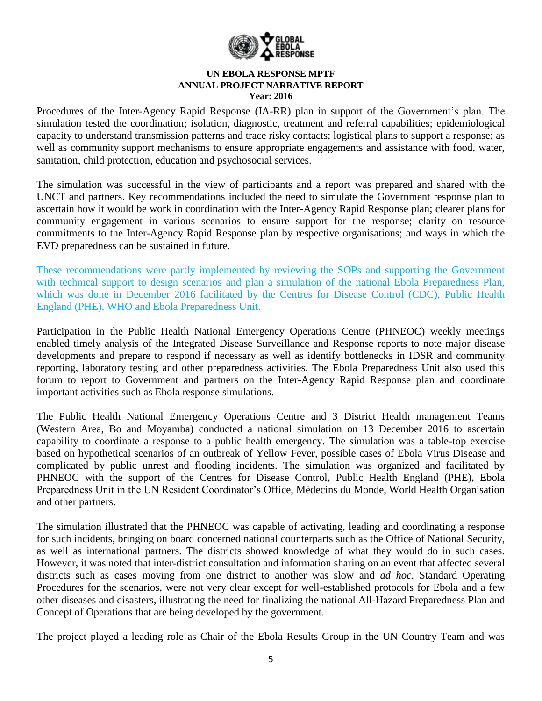

Procedures of the Inter-Agency Rapid Response (IA-RR) plan in support of the Government's plan. The simulation tested the coordination; isolation, diagnostic, treatment and referral capabilities; epidemiological capacity to understand transmission patterns and trace risky contacts; logistical plans to support a response; as well as community support mechanisms to ensure appropriate engagements and assistance with food, water, sanitation, child protection, education and psychosocial services.

The simulation was successful in the view of participants and a report was prepared and shared with the UNCT and partners. Key recommendations included the need to simulate the Government response plan to ascertain how it would be work in coordination with the Inter-Agency Rapid Response plan; clearer plans for community engagement in various scenarios to ensure support for the response; clarity on resource commitments to the Inter-Agency Rapid Response plan by respective organisations; and ways in which the EVD preparedness can be sustained in future.

These recommendations were partly implemented by reviewing the SOPs and supporting the Government with technical support to design scenarios and plan a simulation of the national Ebola Preparedness Plan, which was done in December 2016 facilitated by the Centres for Disease Control (CDC), Public Health England (PHE), WHO and Ebola Preparedness Unit.

Participation in the Public Health National Emergency Operations Centre (PHNEOC) weekly meetings enabled timely analysis of the Integrated Disease Surveillance and Response reports to note major disease developments and prepare to respond if necessary as well as identify bottlenecks in IDSR and community reporting, laboratory testing and other preparedness activities. The Ebola Preparedness Unit also used this forum to report to Government and partners on the Inter-Agency Rapid Response plan and coordinate important activities such as Ebola response simulations.

The Public Health National Emergency Operations Centre and 3 District Health management Teams (Western Area, Bo and Moyamba) conducted a national simulation on 13 December 2016 to ascertain capability to coordinate a response to a public health emergency. The simulation was a table-top exercise based on hypothetical scenarios of an outbreak of Yellow Fever, possible cases of Ebola Virus Disease and complicated by public unrest and flooding incidents. The simulation was organized and facilitated by PHNEOC with the support of the Centres for Disease Control, Public Health England (PHE), Ebola Preparedness Unit in the UN Resident Coordinator's Office, Médecins du Monde, World Health Organisation and other partners.

The simulation illustrated that the PHNEOC was capable of activating, leading and coordinating a response for such incidents, bringing on board concerned national counterparts such as the Office of National Security, as well as international partners. The districts showed knowledge of what they would do in such cases. However, it was noted that inter-district consultation and information sharing on an event that affected several districts such as cases moving from one district to another was slow and *ad hoc*. Standard Operating Procedures for the scenarios, were not very clear except for well-established protocols for Ebola and a few other diseases and disasters, illustrating the need for finalizing the national All-Hazard Preparedness Plan and Concept of Operations that are being developed by the government.

The project played a leading role as Chair of the Ebola Results Group in the UN Country Team and was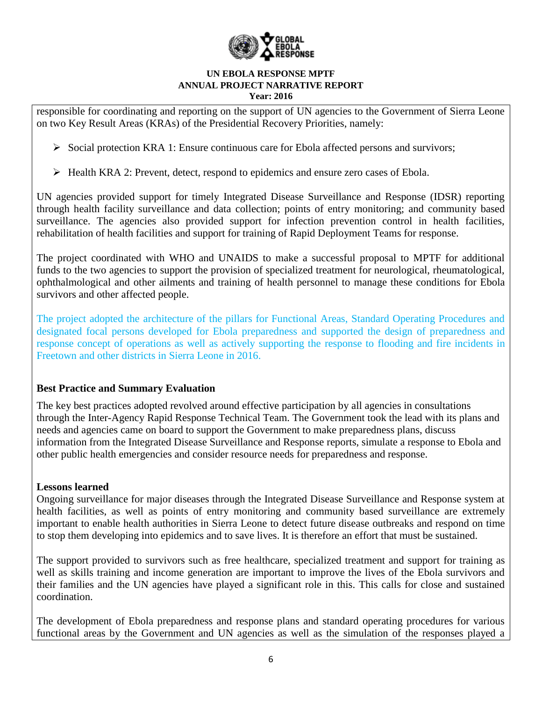

responsible for coordinating and reporting on the support of UN agencies to the Government of Sierra Leone on two Key Result Areas (KRAs) of the Presidential Recovery Priorities, namely:

 $\triangleright$  Social protection KRA 1: Ensure continuous care for Ebola affected persons and survivors;

 $\triangleright$  Health KRA 2: Prevent, detect, respond to epidemics and ensure zero cases of Ebola.

UN agencies provided support for timely Integrated Disease Surveillance and Response (IDSR) reporting through health facility surveillance and data collection; points of entry monitoring; and community based surveillance. The agencies also provided support for infection prevention control in health facilities, rehabilitation of health facilities and support for training of Rapid Deployment Teams for response.

The project coordinated with WHO and UNAIDS to make a successful proposal to MPTF for additional funds to the two agencies to support the provision of specialized treatment for neurological, rheumatological, ophthalmological and other ailments and training of health personnel to manage these conditions for Ebola survivors and other affected people.

The project adopted the architecture of the pillars for Functional Areas, Standard Operating Procedures and designated focal persons developed for Ebola preparedness and supported the design of preparedness and response concept of operations as well as actively supporting the response to flooding and fire incidents in Freetown and other districts in Sierra Leone in 2016.

# **Best Practice and Summary Evaluation**

The key best practices adopted revolved around effective participation by all agencies in consultations through the Inter-Agency Rapid Response Technical Team. The Government took the lead with its plans and needs and agencies came on board to support the Government to make preparedness plans, discuss information from the Integrated Disease Surveillance and Response reports, simulate a response to Ebola and other public health emergencies and consider resource needs for preparedness and response.

# **Lessons learned**

Ongoing surveillance for major diseases through the Integrated Disease Surveillance and Response system at health facilities, as well as points of entry monitoring and community based surveillance are extremely important to enable health authorities in Sierra Leone to detect future disease outbreaks and respond on time to stop them developing into epidemics and to save lives. It is therefore an effort that must be sustained.

The support provided to survivors such as free healthcare, specialized treatment and support for training as well as skills training and income generation are important to improve the lives of the Ebola survivors and their families and the UN agencies have played a significant role in this. This calls for close and sustained coordination.

The development of Ebola preparedness and response plans and standard operating procedures for various functional areas by the Government and UN agencies as well as the simulation of the responses played a